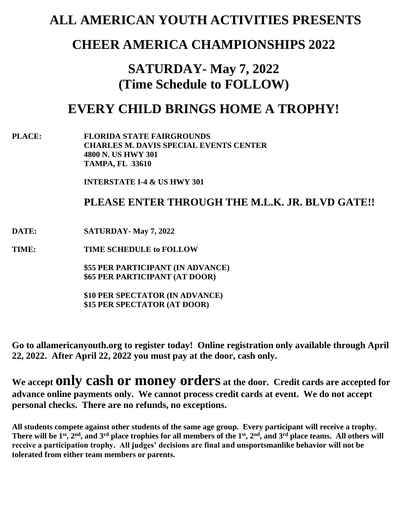# **ALL AMERICAN YOUTH ACTIVITIES PRESENTS**

## **CHEER AMERICA CHAMPIONSHIPS 2022**

# **SATURDAY- May 7, 2022 (Time Schedule to FOLLOW)**

# **EVERY CHILD BRINGS HOME A TROPHY!**

**PLACE: FLORIDA STATE FAIRGROUNDS CHARLES M. DAVIS SPECIAL EVENTS CENTER 4800 N. US HWY 301 TAMPA, FL 33610**

**INTERSTATE I-4 & US HWY 301**

### **PLEASE ENTER THROUGH THE M.L.K. JR. BLVD GATE!!**

### **DATE: SATURDAY- May 7, 2022**

**TIME: TIME SCHEDULE to FOLLOW**

**\$55 PER PARTICIPANT (IN ADVANCE) \$65 PER PARTICIPANT (AT DOOR)** 

**\$10 PER SPECTATOR (IN ADVANCE) \$15 PER SPECTATOR (AT DOOR)**

**Go to allamericanyouth.org to register today! Online registration only available through April 22, 2022. After April 22, 2022 you must pay at the door, cash only.**

**We accept only cash or money orders at the door. Credit cards are accepted for advance online payments only. We cannot process credit cards at event. We do not accept personal checks. There are no refunds, no exceptions.**

**All students compete against other students of the same age group. Every participant will receive a trophy. There will be 1st, 2nd, and 3rd place trophies for all members of the 1st , 2nd, and 3rd place teams. All others will receive a participation trophy. All judges' decisions are final and unsportsmanlike behavior will not be tolerated from either team members or parents.**